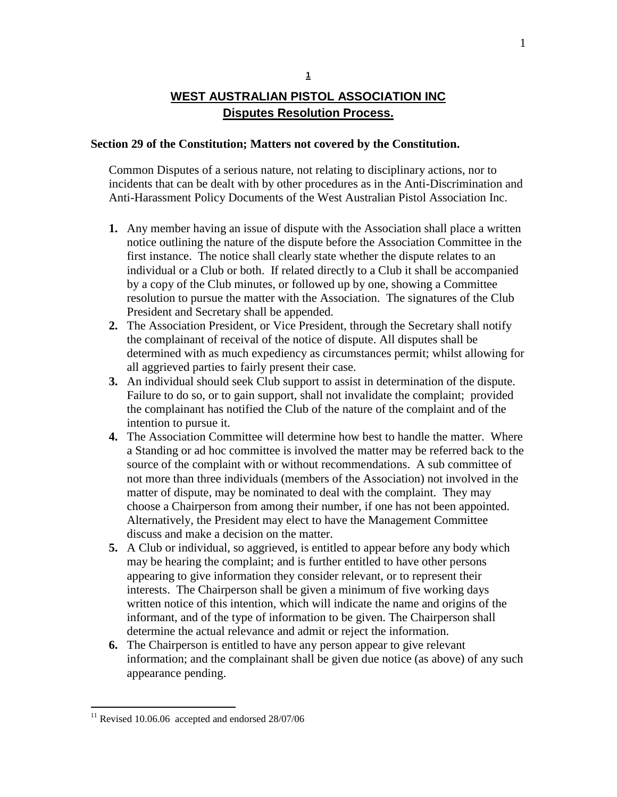# **WEST AUSTRALIAN PISTOL ASSOCIATION INC Disputes Resolution Process.**

### **Section 29 of the Constitution; Matters not covered by the Constitution.**

Common Disputes of a serious nature, not relating to disciplinary actions, nor to incidents that can be dealt with by other procedures as in the Anti-Discrimination and Anti-Harassment Policy Documents of the West Australian Pistol Association Inc.

- **1.** Any member having an issue of dispute with the Association shall place a written notice outlining the nature of the dispute before the Association Committee in the first instance. The notice shall clearly state whether the dispute relates to an individual or a Club or both. If related directly to a Club it shall be accompanied by a copy of the Club minutes, or followed up by one, showing a Committee resolution to pursue the matter with the Association. The signatures of the Club President and Secretary shall be appended.
- **2.** The Association President, or Vice President, through the Secretary shall notify the complainant of receival of the notice of dispute. All disputes shall be determined with as much expediency as circumstances permit; whilst allowing for all aggrieved parties to fairly present their case.
- **3.** An individual should seek Club support to assist in determination of the dispute. Failure to do so, or to gain support, shall not invalidate the complaint; provided the complainant has notified the Club of the nature of the complaint and of the intention to pursue it.
- **4.** The Association Committee will determine how best to handle the matter. Where a Standing or ad hoc committee is involved the matter may be referred back to the source of the complaint with or without recommendations. A sub committee of not more than three individuals (members of the Association) not involved in the matter of dispute, may be nominated to deal with the complaint. They may choose a Chairperson from among their number, if one has not been appointed. Alternatively, the President may elect to have the Management Committee discuss and make a decision on the matter.
- **5.** A Club or individual, so aggrieved, is entitled to appear before any body which may be hearing the complaint; and is further entitled to have other persons appearing to give information they consider relevant, or to represent their interests. The Chairperson shall be given a minimum of five working days written notice of this intention, which will indicate the name and origins of the informant, and of the type of information to be given. The Chairperson shall determine the actual relevance and admit or reject the information.
- **6.** The Chairperson is entitled to have any person appear to give relevant information; and the complainant shall be given due notice (as above) of any such appearance pending.

 $\overline{a}$ 

 $11$  Revised 10.06.06 accepted and endorsed 28/07/06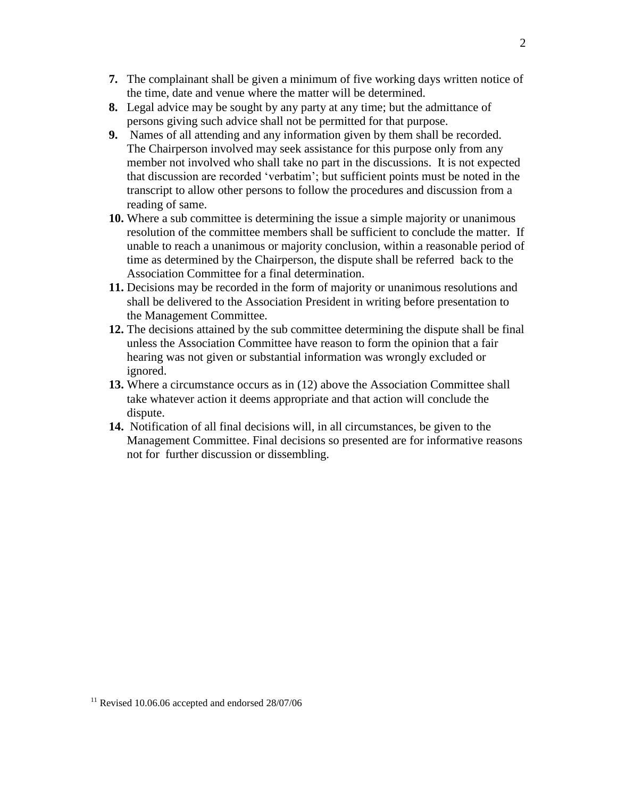- **7.** The complainant shall be given a minimum of five working days written notice of the time, date and venue where the matter will be determined.
- **8.** Legal advice may be sought by any party at any time; but the admittance of persons giving such advice shall not be permitted for that purpose.
- **9.** Names of all attending and any information given by them shall be recorded. The Chairperson involved may seek assistance for this purpose only from any member not involved who shall take no part in the discussions. It is not expected that discussion are recorded 'verbatim'; but sufficient points must be noted in the transcript to allow other persons to follow the procedures and discussion from a reading of same.
- **10.** Where a sub committee is determining the issue a simple majority or unanimous resolution of the committee members shall be sufficient to conclude the matter. If unable to reach a unanimous or majority conclusion, within a reasonable period of time as determined by the Chairperson, the dispute shall be referred back to the Association Committee for a final determination.
- **11.** Decisions may be recorded in the form of majority or unanimous resolutions and shall be delivered to the Association President in writing before presentation to the Management Committee.
- **12.** The decisions attained by the sub committee determining the dispute shall be final unless the Association Committee have reason to form the opinion that a fair hearing was not given or substantial information was wrongly excluded or ignored.
- **13.** Where a circumstance occurs as in (12) above the Association Committee shall take whatever action it deems appropriate and that action will conclude the dispute.
- **14.** Notification of all final decisions will, in all circumstances, be given to the Management Committee. Final decisions so presented are for informative reasons not for further discussion or dissembling.

 $11$  Revised 10.06.06 accepted and endorsed  $28/07/06$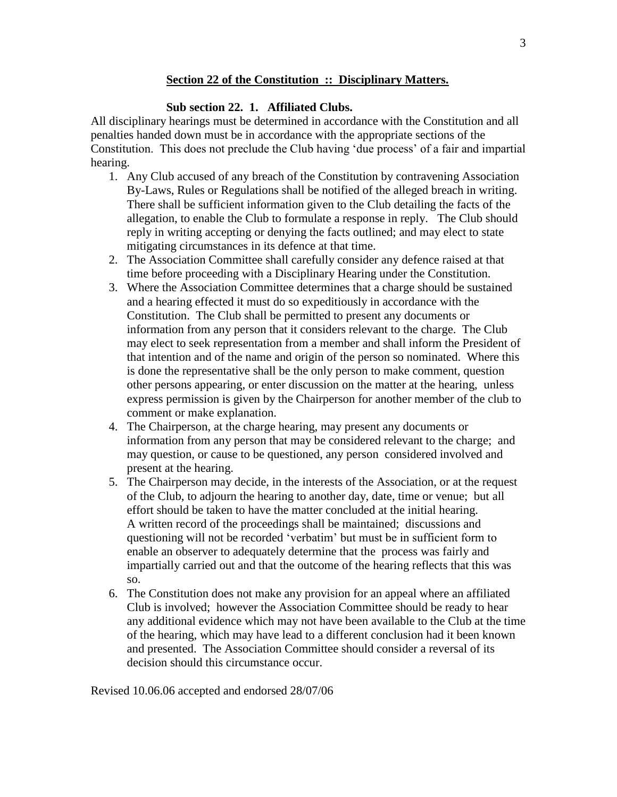### **Section 22 of the Constitution :: Disciplinary Matters.**

## **Sub section 22. 1. Affiliated Clubs.**

All disciplinary hearings must be determined in accordance with the Constitution and all penalties handed down must be in accordance with the appropriate sections of the Constitution. This does not preclude the Club having 'due process' of a fair and impartial hearing.

- 1. Any Club accused of any breach of the Constitution by contravening Association By-Laws, Rules or Regulations shall be notified of the alleged breach in writing. There shall be sufficient information given to the Club detailing the facts of the allegation, to enable the Club to formulate a response in reply. The Club should reply in writing accepting or denying the facts outlined; and may elect to state mitigating circumstances in its defence at that time.
- 2. The Association Committee shall carefully consider any defence raised at that time before proceeding with a Disciplinary Hearing under the Constitution.
- 3. Where the Association Committee determines that a charge should be sustained and a hearing effected it must do so expeditiously in accordance with the Constitution. The Club shall be permitted to present any documents or information from any person that it considers relevant to the charge. The Club may elect to seek representation from a member and shall inform the President of that intention and of the name and origin of the person so nominated. Where this is done the representative shall be the only person to make comment, question other persons appearing, or enter discussion on the matter at the hearing, unless express permission is given by the Chairperson for another member of the club to comment or make explanation.
- 4. The Chairperson, at the charge hearing, may present any documents or information from any person that may be considered relevant to the charge; and may question, or cause to be questioned, any person considered involved and present at the hearing.
- 5. The Chairperson may decide, in the interests of the Association, or at the request of the Club, to adjourn the hearing to another day, date, time or venue; but all effort should be taken to have the matter concluded at the initial hearing. A written record of the proceedings shall be maintained; discussions and questioning will not be recorded 'verbatim' but must be in sufficient form to enable an observer to adequately determine that the process was fairly and impartially carried out and that the outcome of the hearing reflects that this was so.
- 6. The Constitution does not make any provision for an appeal where an affiliated Club is involved; however the Association Committee should be ready to hear any additional evidence which may not have been available to the Club at the time of the hearing, which may have lead to a different conclusion had it been known and presented. The Association Committee should consider a reversal of its decision should this circumstance occur.

Revised 10.06.06 accepted and endorsed 28/07/06